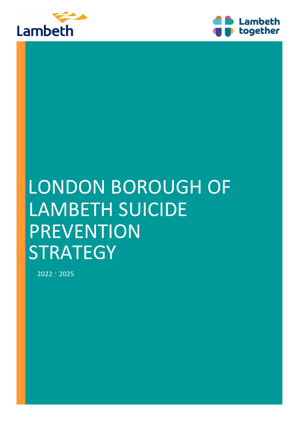



# LONDON BOROUGH OF LAMBETH SUICIDE PREVENTION **STRATEGY**

2022 - 2025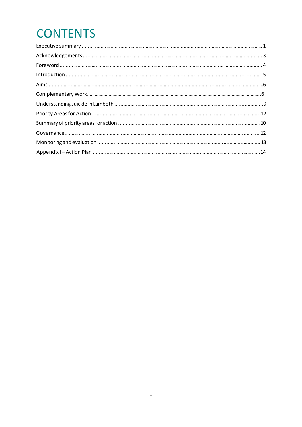# **CONTENTS**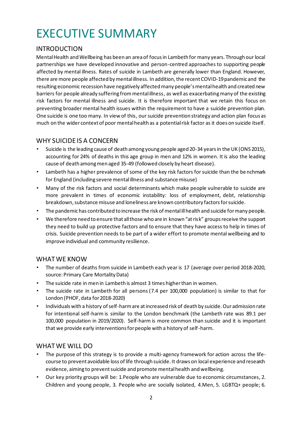# EXECUTIVE SUMMARY

### INTRODUCTION

Mental Health and Wellbeing has been an area of focus in Lambeth for many years. Through our local partnerships we have developed innovative and person-centred approaches to supporting people affected by mental illness. Rates of suicide in Lambeth are generally lower than England. However, there are more people affected by mental illness. In addition, the recent COVID-19 pandemic and the resulting economic recession have negatively affected many people's mental health and created new barriers for people already suffering from mental illness, as well as exacerbating many of the existing risk factors for mental illness and suicide. It is therefore important that we retain this focus on preventing broader mental health issues within the requirement to have a suicide prevention plan. One suicide is one too many. In view of this, our suicide prevention strategy and action plan focus as much on the wider context of poor mental health as a potential risk factor as it does on suicide itself.

### WHY SUICIDE IS A CONCERN

- Suicide is the leading cause of death among young people aged 20-34 years in the UK (ONS 2015), accounting for 24% of deaths in this age group in men and 12% in women. It is also the leading cause of death among men aged 35-49 (followed closely by heart disease).
- Lambeth has a higher prevalence of some of the key risk factors for suicide than the benchmark for England (including severe mental illness and substance misuse)
- Many of the risk factors and social determinants which make people vulnerable to suicide are more prevalent in times of economic instability: loss of employment, debt, relationship breakdown, substance misuse and loneliness are known contributory factors for suicide.
- The pandemic has contributed to increase the risk of mental ill health and suicide for many people.
- We therefore need to ensure that all those who are in known "at risk" groups receive the support they need to build up protective factors and to ensure that they have access to help in times of crisis. Suicide prevention needs to be part of a wider effort to promote mental wellbeing and to improve individual and community resilience.

### WHAT WE KNOW

- The number of deaths from suicide in Lambeth each year is 17 (average over period 2018-2020, source: Primary Care Mortality Data)
- The suicide rate in men in Lambeth is almost 3 times higher than in women.
- The suicide rate in Lambeth for all persons (7.4 per 100,000 population) is similar to that for London (PHOF, data for 2018-2020)
- Individuals with a history of self-harm are at increased risk of death by suicide. Our admission rate for intentional self-harm is similar to the London benchmark (the Lambeth rate was 89.1 per 100,000 population in 2019/2020). Self-harm is more common than suicide and it is important that we provide early interventions for people with a history of self-harm.

### WHAT WE WILL DO

- The purpose of this strategy is to provide a multi-agency framework for action across the lifecourse to prevent avoidable loss of life through suicide. It draws on local experience and research evidence, aiming to prevent suicide and promote mental health and wellbeing.
- Our key priority groups will be: 1.People who are vulnerable due to economic circumstances, 2. Children and young people, 3. People who are socially isolated, 4.Men, 5. LGBTQ+ people; 6.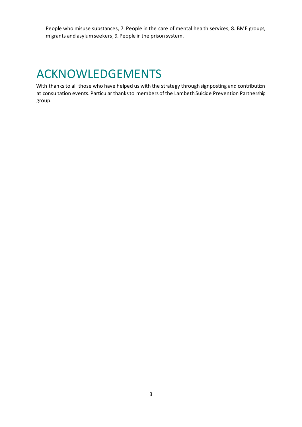People who misuse substances, 7. People in the care of mental health services, 8. BME groups, migrants and asylum seekers, 9. People in the prison system.

### ACKNOWLEDGEMENTS

With thanks to all those who have helped us with the strategy through signposting and contribution at consultation events. Particular thanks to members of the Lambeth Suicide Prevention Partnership group.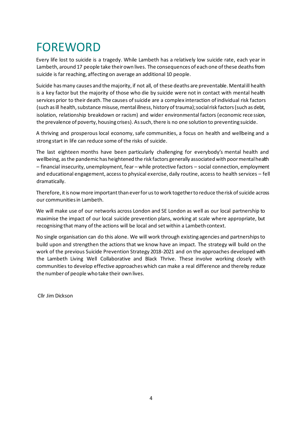# FOREWORD

Every life lost to suicide is a tragedy. While Lambeth has a relatively low suicide rate, each year in Lambeth, around 17 people take their own lives. The consequences of each one of these deaths from suicide is far reaching, affecting on average an additional 10 people.

Suicide has many causes and the majority, if not all, of these deaths are preventable. Mental ill health is a key factor but the majority of those who die by suicide were not in contact with mental health services prior to their death. The causes of suicide are a complex interaction of individual risk factors (such as ill health, substance misuse, mental illness, history of trauma); social risk factors (such as debt, isolation, relationship breakdown or racism) and wider environmental factors (economic rece ssion, the prevalence of poverty, housing crises). As such, there is no one solution to preventing suicide.

A thriving and prosperous local economy, safe communities, a focus on health and wellbeing and a strong start in life can reduce some of the risks of suicide.

The last eighteen months have been particularly challenging for everybody's mental health and wellbeing, as the pandemic has heightened the risk factors generally associated with poor mental health – financial insecurity, unemployment, fear – while protective factors – social connection, employment and educational engagement, access to physical exercise, daily routine, access to health services – fell dramatically.

Therefore, it is now more important than ever for us to work together to reduce the risk of suicide across our communities in Lambeth.

We will make use of our networks across London and SE London as well as our local partnership to maximise the impact of our local suicide prevention plans, working at scale where appropriate, but recognising that many of the actions will be local and set within a Lambeth context.

No single organisation can do this alone. We will work through existing agencies and partnerships to build upon and strengthen the actions that we know have an impact. The strategy will build on the work of the previous Suicide Prevention Strategy 2018-2021 and on the approaches developed with the Lambeth Living Well Collaborative and Black Thrive. These involve working closely with communities to develop effective approaches which can make a real difference and thereby reduce the number of people who take their own lives.

Cllr Jim Dickson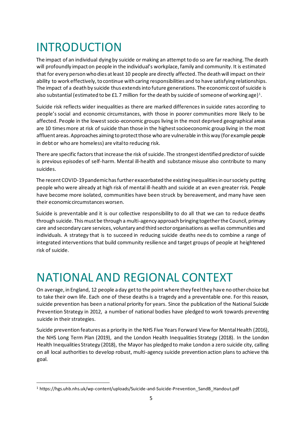# INTRODUCTION

The impact of an individual dying by suicide or making an attempt to do so are far reaching. The death will profoundly impact on people in the individual's workplace, family and community. It is estimated that for every person who dies at least 10 people are directly affected. The death will impact on their ability to work effectively, to continue with caring responsibilities and to have satisfying relationships. The impact of a death by suicide thus extends into future generations. The economic cost of suicide is also substantial (estimated to be £1.7 million for the death by suicide of someone of working age) $^{\rm 1}.$ 

Suicide risk reflects wider inequalities as there are marked differences in suicide rates according to people's social and economic circumstances, with those in poorer communities more likely to be affected. People in the lowest socio-economic groups living in the most deprived geographical areas are 10 times more at risk of suicide than those in the highest socioeconomic group living in the most affluent areas. Approaches aiming to protect those who are vulnerable in this way (for example people in debt or who are homeless) are vital to reducing risk.

There are specific factors that increase the risk of suicide. The strongest identified predictor of suicide is previous episodes of self-harm. Mental ill-health and substance misuse also contribute to many suicides.

The recent COVID-19 pandemic has further exacerbated the existing inequalities in our society putting people who were already at high risk of mental ill-health and suicide at an even greater risk. People have become more isolated, communities have been struck by bereavement, and many have seen their economic circumstances worsen.

Suicide is preventable and it is our collective responsibility to do all that we can to reduce deaths through suicide. This must be through a multi-agency approach bringing together the Council, primary care and secondary care services, voluntary and third sector organisations as well as communities and individuals. A strategy that is to succeed in reducing suicide deaths needs to combine a range of integrated interventions that build community resilience and target groups of people at heightened risk of suicide.

### NATIONAL AND REGIONAL CONTEXT

On average, in England, 12 people a day get to the point where they feel they have no other choice but to take their own life. Each one of these deaths is a tragedy and a preventable one. For this reason, suicide prevention has been a national priority for years. Since the publication of the National Suicide Prevention Strategy in 2012, a number of national bodies have pledged to work towards preventing suicide in their strategies.

Suicide prevention features as a priority in the NHS Five Years Forward View for Mental Health (2016), the NHS Long Term Plan (2019), and the London Health Inequalities Strategy (2018). In the London Health Inequalities Strategy (2018), the Mayor has pledged to make London a zero suicide city, calling on all local authorities to develop robust, multi-agency suicide prevention action plans to achieve this goal.

<sup>1</sup> https://hgs.uhb.nhs.uk/wp-content/uploads/Suicide-and-Suicide-Prevention\_SandB\_Handout.pdf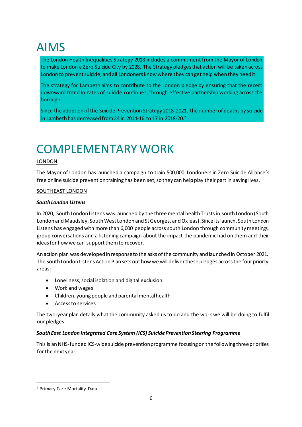# AIMS

The London Health Inequalities Strategy 2018 includes a commitment from the Mayor of London to make London a Zero Suicide City by 2028. The Strategy pledges that action will be taken across London to prevent suicide, and all Londoners know where they can get help when they need it.

The strategy for Lambeth aims to contribute to the London pledge by ensuring that the recent downward trend in rates of suicide continues, through effective partnership working across the borough.

Since the adoption of the Suicide Prevention Strategy 2018-2021, the number of deaths by suicide in Lambeth has decreased from 24 in 2014-16 to 17 in 2018-20.<sup>2</sup>

# COMPLEMENTARYWORK

#### LONDON

The Mayor of London has launched a campaign to train 500,000 Londoners in Zero Suicide Alliance's free online suicide prevention training has been set, so they can help play their part in saving lives.

#### SOUTH EAST LONDON

#### *South London Listens*

In 2020, South London Listens was launched by the three mental health Trusts in south London (South London and Maudsley, South West London and St Georges, and Oxleas). Since its launch, South London Listens has engaged with more than 6,000 people across south London through community meetings, group conversations and a listening campaign about the impact the pandemic had on them and their ideas for how we can support them to recover.

An action plan was developed in response to the asks of the community and launched in October 2021. The South London Listens Action Plan sets out how we will deliver these pledges across the four priority areas:

- Loneliness, social isolation and digital exclusion
- Work and wages
- Children, young people and parental mental health
- Access to services

The two-year plan details what the community asked us to do and the work we will be doing to fulfil our pledges.

#### *South East London Integrated Care System (ICS) Suicide Prevention Steering Programme*

This is an NHS-funded ICS-wide suicide prevention programme focusing on the following three priorities for the next year:

<sup>2</sup> Primary Care Mortality Data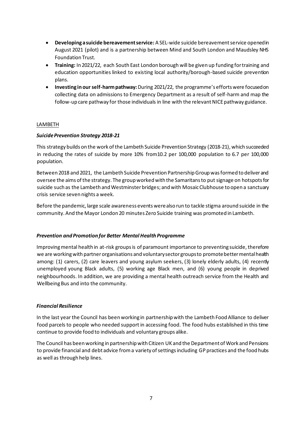- **Developing a suicide bereavement service:** A SEL-wide suicide bereavement service opened in August 2021 (pilot) and is a partnership between Mind and South London and Maudsley NHS Foundation Trust.
- **Training:** In 2021/22, each South East London borough will be given up funding for training and education opportunities linked to existing local authority/borough-based suicide prevention plans.
- **Investing in our self-harm pathway:**During 2021/22, the programme's efforts were focused on collecting data on admissions to Emergency Department as a result of self-harm and map the follow-up care pathway for those individuals in line with the relevant NICE pathway guidance.

#### **LAMBETH**

#### *Suicide Prevention Strategy 2018-21*

This strategy builds on the work of the Lambeth Suicide Prevention Strategy (2018-21), which succeeded in reducing the rates of suicide by more 10% from10.2 per 100,000 population to 6.7 per 100,000 population.

Between 2018 and 2021, the Lambeth Suicide Prevention Partnership Group was formed to deliver and oversee the aims of the strategy. The group worked with the Samaritans to put signage on hotspots for suicide such as the Lambeth and Westminster bridges; and with Mosaic Clubhouse to open a sanctuary crisis service seven nights a week.

Before the pandemic, large scale awareness events were also run to tackle stigma around suicide in the community. And the Mayor London 20 minutes Zero Suicide training was promoted in Lambeth.

#### *Prevention and Promotion for Better Mental Health Programme*

Improving mental health in at-risk groups is of paramount importance to preventing suicide, therefore we are working with partner organisations and voluntary sector groups to promote better mental health among: (1) carers, (2) care leavers and young asylum seekers, (3) lonely elderly adults, (4) recently unemployed young Black adults, (5) working age Black men, and (6) young people in deprived neighbourhoods. In addition, we are providing a mental health outreach service from the Health and Wellbeing Bus and into the community.

#### *Financial Resilience*

In the last year the Council has been working in partnership with the Lambeth Food Alliance to deliver food parcels to people who needed support in accessing food. The food hubs established in this time continue to provide food to individuals and voluntary groups alike.

The Council has been working in partnership with Citizen UK and the Department of Work and Pensions to provide financial and debt advice from a variety of settings including GP practices and the food hubs as well as through help lines.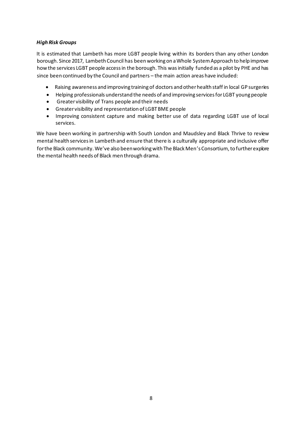#### *High Risk Groups*

It is estimated that Lambeth has more LGBT people living within its borders than any other London borough. Since 2017, Lambeth Council has been working on a Whole System Approach to help improve how the services LGBT people access in the borough. This was initially funded as a pilot by PHE and has since been continued by the Council and partners – the main action areas have included:

- Raising awareness and improving training of doctors and other health staff in local GP surgeries
- Helping professionals understand the needs of and improving services for LGBT young people
- Greater visibility of Trans people and their needs
- Greater visibility and representation of LGBT BME people
- Improving consistent capture and making better use of data regarding LGBT use of local services.

We have been working in partnership with South London and Maudsley and Black Thrive to review mental health services in Lambeth and ensure that there is a culturally appropriate and inclusive offer for the Black community. We've also been working with The Black Men's Consortium, to further explore the mental health needs of Black men through drama.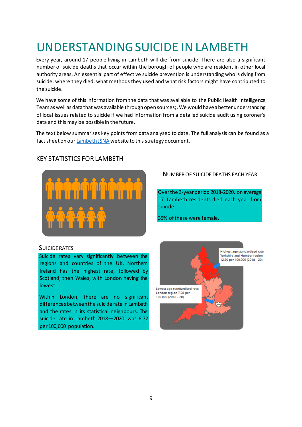# UNDERSTANDING SUICIDE IN LAMBETH

Every year, around 17 people living in Lambeth will die from suicide. There are also a significant number of suicide deaths that occur within the borough of people who are resident in other local authority areas. An essential part of effective suicide prevention is understanding who is dying from suicide, where they died, what methods they used and what risk factors might have contributed to the suicide.

We have some of this information from the data that was available to the Public Health Intelligence Team as well as data that was available through open sources;. We would have a better understanding of local issues related to suicide if we had information from a detailed suicide audit using coroner's data and this may be possible in the future.

The text below summarises key points from data analysed to date. The full analysis can be found as a fact sheet on ou[r Lambeth JSNA](https://www.lambeth.gov.uk/social-support-and-health/health-and-wellbeing/lambeths-health-profile-and-the-jsna) website to this strategy document.



### KEY STATISTICS FOR LAMBETH

#### SUICIDE RATES

Suicide rates vary significantly between the regions and countries of the UK. Northern Ireland has the highest rate, followed by Scotland, then Wales, with London having the lowest.

Within London, there are no significant differences between the suicide rate in Lambeth and the rates in its statistical neighbours. The suicide rate in Lambeth 2018—2020 was 6.72 per 100,000 population.

#### NUMBER OF SUICIDE DEATHS EACH YEAR

Over the 3-year period 2018-2020, on average 17 Lambeth residents died each year from suicide.

35% of these were female.

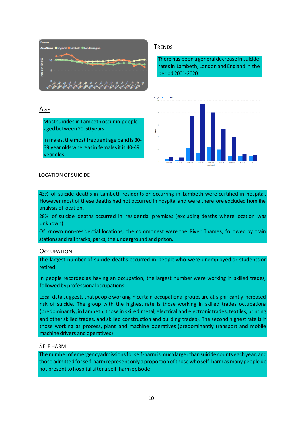

#### TRENDS

There has been a general decrease in suicide rates in Lambeth, London and England in the period 2001-2020.



### AGE

Most suicides in Lambeth occur in people aged between 20-50 years.

In males, the most frequent age band is 30- 39 year olds whereas in females it is 40-49 year olds.

#### LOCATION OF SUICIDE

43% of suicide deaths in Lambeth residents or occurring in Lambeth were certified in hospital. However most of these deaths had not occurred in hospital and were therefore excluded from the analysis of location.

28% of suicide deaths occurred in residential premises (excluding deaths where location was unknown)

Of known non-residential locations, the commonest were the River Thames, followed by train stations and rail tracks, parks, the underground and prison.

#### **OCCUPATION**

The largest number of suicide deaths occurred in people who were unemployed or students or retired.

In people recorded as having an occupation, the largest number were working in skilled trades, followed by professional occupations.

Local data suggests that people working in certain occupational groups are at significantly increased risk of suicide. The group with the highest rate is those working in skilled trades occupations (predominantly, in Lambeth, those in skilled metal, electrical and electronic trades, textiles, printing and other skilled trades, and skilled construction and building trades). The second highest rate is in those working as process, plant and machine operatives (predominantly transport and mobile machine drivers and operatives).

#### SELF HARM

The number of emergency admissions for self-harm is much larger than suicide counts each year; and those admitted for self-harm represent only a proportion of those who self-harm as many people do not present to hospital after a self-harm episode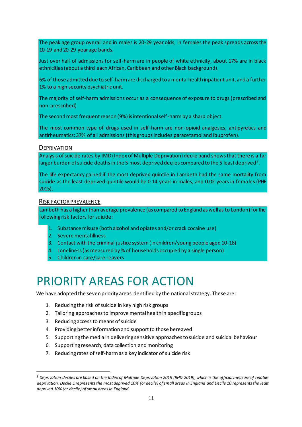The peak age group overall and in males is 20-29 year olds; in females the peak spreads across the 10-19 and 20-29 year age bands.

Just over half of admissions for self-harm are in people of white ethnicity, about 17% are in black ethnicities (about a third each African, Caribbean and other Black background).

6% of those admitted due to self-harm are discharged to a mental health inpatient unit, and a further 1% to a high security psychiatric unit.

The majority of self-harm admissions occur as a consequence of exposure to drugs (prescribed and non-prescribed)

The second most frequent reason (9%) is intentional self-harm by a sharp object.

The most common type of drugs used in self-harm are non-opioid analgesics, antipyretics and antirheumatics: 37% of all admissions (this groups includes paracetamol and ibuprofen).

#### **DEPRIVATION**

Analysis of suicide rates by IMD (Index of Multiple Deprivation) decile band shows that there is a far larger burden of suicide deaths in the 5 most deprived deciles compared to the 5 least deprived $^{\text{3}}$ .

The life expectancy gained if the most deprived quintile in Lambeth had the same mortality from suicide as the least deprived quintile would be 0.14 years in males, and 0.02 years in females (PHE 2015).

#### RISK FACTOR PREVALENCE

Lambeth has a higher than average prevalence (as compared to England as well as to London) for the following risk factors for suicide:

- 1. Substance misuse (both alcohol and opiates and/or crack cocaine use)
- 2. Severe mental illness
- 3. Contact with the criminal justice system (in children/young people aged 10-18)
- 4. Loneliness (as measured by % of households occupied by a single person)
- 5. Children in care/care-leavers

### PRIORITY AREAS FOR ACTION

We have adopted the seven priority areas identified by the national strategy. These are:

- 1. Reducing the risk of suicide in key high risk groups
- 2. Tailoring approaches to improve mental health in specific groups
- 3. Reducing access to means of suicide
- 4. Providing better information and support to those bereaved
- 5. Supporting the media in delivering sensitive approaches to suicide and suicidal behaviour
- 6. Supporting research, data collection and monitoring
- 7. Reducing rates of self-harm as a key indicator of suicide risk

<sup>3</sup> *Deprivation deciles are based on the Index of Multiple Deprivation 2019 (IMD 2019), which is the official measure of relative deprivation. Decile 1 represents the most deprived 10% (or decile) of small areas in England and Decile 10 represents the least deprived 10% (or decile) of small areas in England*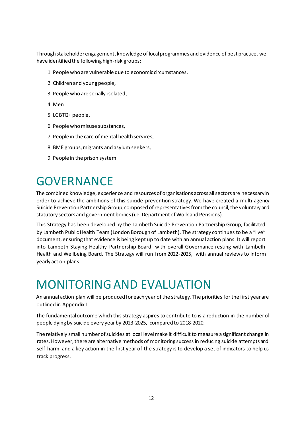Through stakeholder engagement, knowledge of local programmes and evidence of best practice, we have identified the following high-risk groups:

- 1. People who are vulnerable due to economic circumstances,
- 2. Children and young people,
- 3. People who are socially isolated,
- 4. Men
- 5. LGBTQ+ people,
- 6. People who misuse substances,
- 7. People in the care of mental health services,
- 8. BME groups, migrants and asylum seekers,
- 9. People in the prison system

### GOVERNANCE

The combined knowledge, experience and resources of organisations across all sectors are necessary in order to achieve the ambitions of this suicide prevention strategy. We have created a multi-agency Suicide Prevention Partnership Group, composed of representatives from the council, the voluntary and statutory sectors and government bodies (i.e. Department of Work and Pensions).

This Strategy has been developed by the Lambeth Suicide Prevention Partnership Group, facilitated by Lambeth Public Health Team (London Borough of Lambeth). The strategy continues to be a "live" document, ensuring that evidence is being kept up to date with an annual action plans. It will report into Lambeth Staying Healthy Partnership Board, with overall Governance resting with Lambeth Health and Wellbeing Board. The Strategy will run from 2022-2025, with annual reviews to inform yearly action plans.

### MONITORING AND EVALUATION

An annual action plan will be produced for each year of the strategy. The priorities for the first year are outlined in Appendix I.

The fundamental outcome which this strategy aspires to contribute to is a reduction in the number of people dying by suicide every year by 2023-2025, compared to 2018-2020.

The relatively small number of suicides at local level make it difficult to measure a significant change in rates. However, there are alternative methods of monitoring success in reducing suicide attempts and self-harm, and a key action in the first year of the strategy is to develop a set of indicators to help us track progress.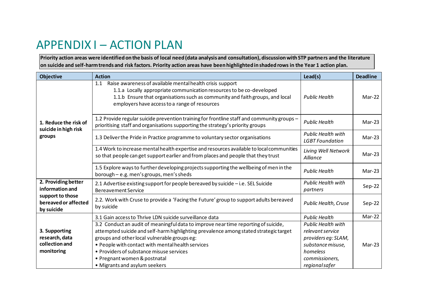### APPENDIX I – ACTION PLAN

**Priority action areas were identified on the basis of local need (data analysis and consultation), discussion with STP partners and the literature on suicide and self-harm trends and risk factors. Priority action areas have been highlighted in shaded rows in the Year 1 action plan.** 

| <b>Objective</b>                                                                                 | <b>Action</b>                                                                                                                                                                                                                                                                                                                                                                                 | Lead(s)                                                                                                                                   | <b>Deadline</b> |
|--------------------------------------------------------------------------------------------------|-----------------------------------------------------------------------------------------------------------------------------------------------------------------------------------------------------------------------------------------------------------------------------------------------------------------------------------------------------------------------------------------------|-------------------------------------------------------------------------------------------------------------------------------------------|-----------------|
| 1. Reduce the risk of<br>suicide in high risk<br>groups                                          | Raise awareness of available mental health crisis support<br>1.1<br>1.1.a Locally appropriate communication resources to be co-developed<br>1.1.b Ensure that organisations such as community and faith groups, and local<br>employers have access to a range of resources                                                                                                                    | <b>Public Health</b>                                                                                                                      | Mar-22          |
|                                                                                                  | 1.2 Provide regular suicide prevention training for frontline staff and community groups -<br>prioritising staff and organisations supporting the strategy's priority groups                                                                                                                                                                                                                  | <b>Public Health</b>                                                                                                                      | $Mar-23$        |
|                                                                                                  | 1.3 Deliver the Pride in Practice programme to voluntary sector organisations                                                                                                                                                                                                                                                                                                                 | Public Health with<br><b>LGBT</b> Foundation                                                                                              | $Mar-23$        |
|                                                                                                  | 1.4 Work to increase mental health expertise and resources available to local communities<br>so that people can get support earlier and from places and people that they trust                                                                                                                                                                                                                | Living Well Network<br>Alliance                                                                                                           | $Mar-23$        |
|                                                                                                  | 1.5 Explore ways to further developing projects supporting the wellbeing of men in the<br>borough - e.g. men's groups, men's sheds                                                                                                                                                                                                                                                            | <b>Public Health</b>                                                                                                                      | $Mar-23$        |
| 2. Providing better<br>information and<br>support to those<br>bereaved or affected<br>by suicide | 2.1 Advertise existing support for people bereaved by suicide - i.e. SEL Suicide<br><b>Bereavement Service</b>                                                                                                                                                                                                                                                                                | <b>Public Health with</b><br>partners                                                                                                     | $Sep-22$        |
|                                                                                                  | 2.2. Work with Cruse to provide a 'Facing the Future' group to support adults bereaved<br>by suicide                                                                                                                                                                                                                                                                                          | <b>Public Health, Cruse</b>                                                                                                               | $Sep-22$        |
| 3. Supporting<br>research, data<br>collection and<br>monitoring                                  | 3.1 Gain access to Thrive LDN suicide surveillance data                                                                                                                                                                                                                                                                                                                                       | <b>Public Health</b>                                                                                                                      | Mar-22          |
|                                                                                                  | 3.2 Conduct an audit of meaningful data to improve near time reporting of suicide,<br>attempted suicide and self-harm highlighting prevalence among stated strategic target<br>groups and other local vulnerable groups eg:<br>. People with contact with mental health services<br>• Providers of substance misuse services<br>• Pregnant women & postnatal<br>• Migrants and asylum seekers | <b>Public Health with</b><br>relevant service<br>providers eg: SLAM,<br>substance misuse,<br>homeless<br>commissioners,<br>regional safer | $Mar-23$        |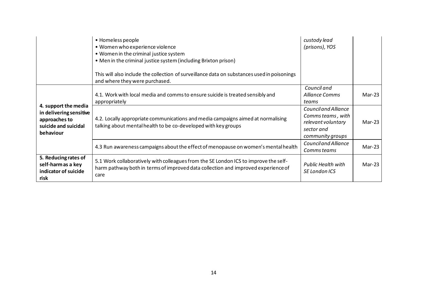|                                                                                                       | • Homeless people<br>• Women who experience violence<br>• Women in the criminal justice system<br>• Men in the criminal justice system (including Brixton prison)<br>This will also include the collection of surveillance data on substances used in poisonings<br>and where they were purchased. | custody lead<br>(prisons), YOS                                                                    |          |
|-------------------------------------------------------------------------------------------------------|----------------------------------------------------------------------------------------------------------------------------------------------------------------------------------------------------------------------------------------------------------------------------------------------------|---------------------------------------------------------------------------------------------------|----------|
|                                                                                                       | 4.1. Work with local media and comms to ensure suicide is treated sensibly and<br>appropriately                                                                                                                                                                                                    | Council and<br>Alliance Comms<br>teams                                                            | Mar-23   |
| 4. support the media<br>in delivering sensitive<br>approaches to<br>suicide and suicidal<br>behaviour | 4.2. Locally appropriate communications and media campaigns aimed at normalising<br>talking about mental health to be co-developed with key groups                                                                                                                                                 | Council and Alliance<br>Comms teams, with<br>relevant voluntary<br>sector and<br>community groups | $Mar-23$ |
|                                                                                                       | 4.3 Run awareness campaigns about the effect of menopause on women's mental health                                                                                                                                                                                                                 | Council and Alliance<br>Comms teams                                                               | Mar-23   |
| 5. Reducing rates of<br>self-harm as a key<br>indicator of suicide<br>risk                            | 5.1 Work collaboratively with colleagues from the SE London ICS to improve the self-<br>harm pathway both in terms of improved data collection and improved experience of<br>care                                                                                                                  | <b>Public Health with</b><br>SE London ICS                                                        | $Mar-23$ |